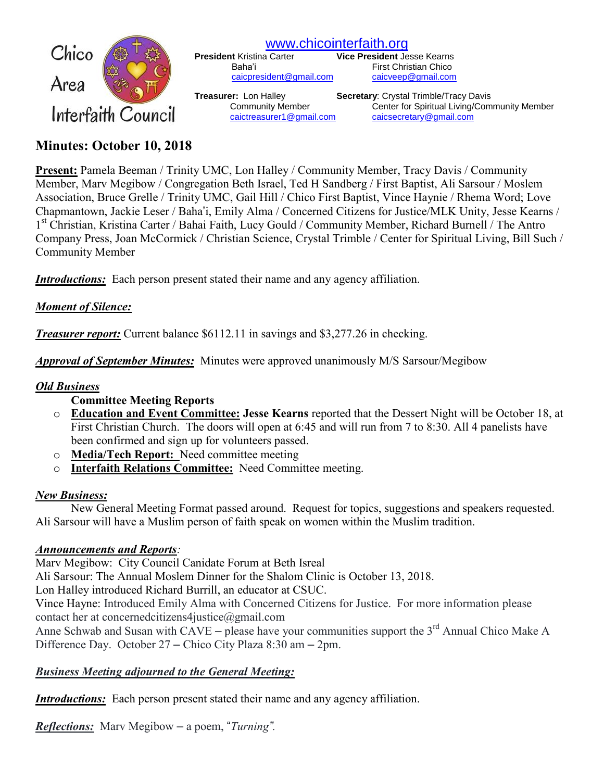

[www.chicointerfaith.org](file:///C:/Users/CSL/Downloads/www.chicointerfaith.org)<br>President Kristina Carter Vice President Je

[caicpresident@gmail.com](mailto:caicpresident@gmail.com)

**Vice President Jesse Kearns** Baha'i First Christian Chico<br>
<u>Caicpresident@gmail.com</u> caicveep@gmail.com

**Treasurer:** Lon Halley **Secretary**: Crystal Trimble/Tracy Davis Community Member Center for Spiritual Living/Community Member [caictreasurer1@gmail.com](mailto:caictreasurer1@gmail.com) [caicsecretary@gmail.com](mailto:caicsecretary@gmail.com)

# **Minutes: October 10, 2018**

**Present:** Pamela Beeman / Trinity UMC, Lon Halley / Community Member, Tracy Davis / Community Member, Marv Megibow / Congregation Beth Israel, Ted H Sandberg / First Baptist, Ali Sarsour / Moslem Association, Bruce Grelle / Trinity UMC, Gail Hill / Chico First Baptist, Vince Haynie / Rhema Word; Love Chapmantown, Jackie Leser / Baha'i, Emily Alma / Concerned Citizens for Justice/MLK Unity, Jesse Kearns / 1<sup>st</sup> Christian, Kristina Carter / Bahai Faith, Lucy Gould / Community Member, Richard Burnell / The Antro Company Press, Joan McCormick / Christian Science, Crystal Trimble / Center for Spiritual Living, Bill Such / Community Member

*Introductions:* Each person present stated their name and any agency affiliation.

### *Moment of Silence:*

*Treasurer report:* Current balance \$6112.11 in savings and \$3,277.26 in checking.

*Approval of September Minutes:*Minutes were approved unanimously M/S Sarsour/Megibow

### *Old Business*

### **Committee Meeting Reports**

- o **Education and Event Committee: Jesse Kearns** reported that the Dessert Night will be October 18, at First Christian Church. The doors will open at 6:45 and will run from 7 to 8:30. All 4 panelists have been confirmed and sign up for volunteers passed.
- o **Media/Tech Report:** Need committee meeting
- o **Interfaith Relations Committee:** Need Committee meeting.

# *New Business:*

New General Meeting Format passed around. Request for topics, suggestions and speakers requested. Ali Sarsour will have a Muslim person of faith speak on women within the Muslim tradition.

# *Announcements and Reports:*

Marv Megibow: City Council Canidate Forum at Beth Isreal Ali Sarsour: The Annual Moslem Dinner for the Shalom Clinic is October 13, 2018. Lon Halley introduced Richard Burrill, an educator at CSUC. Vince Hayne: Introduced Emily Alma with Concerned Citizens for Justice. For more information please contact her at concernedcitizens4justice@gmail.com

Anne Schwab and Susan with  $\tilde{CAYE}$  – please have your communities support the 3<sup>rd</sup> Annual Chico Make A Difference Day. October 27 – Chico City Plaza 8:30 am – 2pm.

# *Business Meeting adjourned to the General Meeting:*

*Introductions:* Each person present stated their name and any agency affiliation.

*Reflections:*Marv Megibow – a poem, "*Turning".*